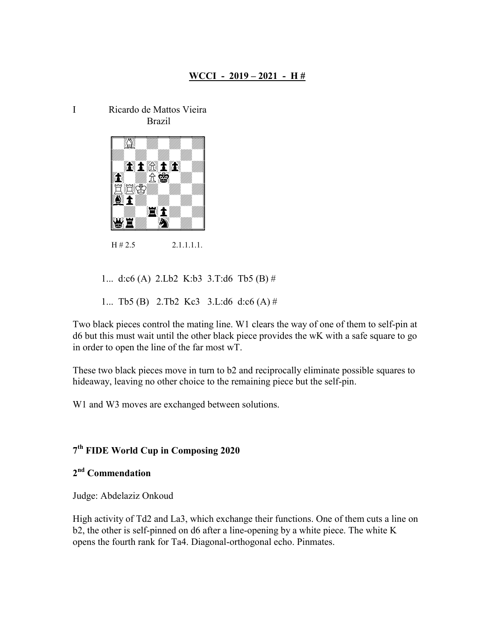I Ricardo de Mattos Vieira Brazil



 $H \# 2.5$  2.1.1.1.1.1.

1... d:c6 (A) 2.Lb2 K:b3 3.T:d6 Tb5 (B) #

1... Tb5 (B) 2.Tb2 Kc3 3.L:d6 d:c6 (A) #

Two black pieces control the mating line. W1 clears the way of one of them to self-pin at d6 but this must wait until the other black piece provides the wK with a safe square to go in order to open the line of the far most wT.

These two black pieces move in turn to b2 and reciprocally eliminate possible squares to hideaway, leaving no other choice to the remaining piece but the self-pin.

W1 and W3 moves are exchanged between solutions.

## 7 th FIDE World Cup in Composing 2020

## 2<sup>nd</sup> Commendation

Judge: Abdelaziz Onkoud

High activity of Td2 and La3, which exchange their functions. One of them cuts a line on b2, the other is self-pinned on d6 after a line-opening by a white piece. The white K opens the fourth rank for Ta4. Diagonal-orthogonal echo. Pinmates.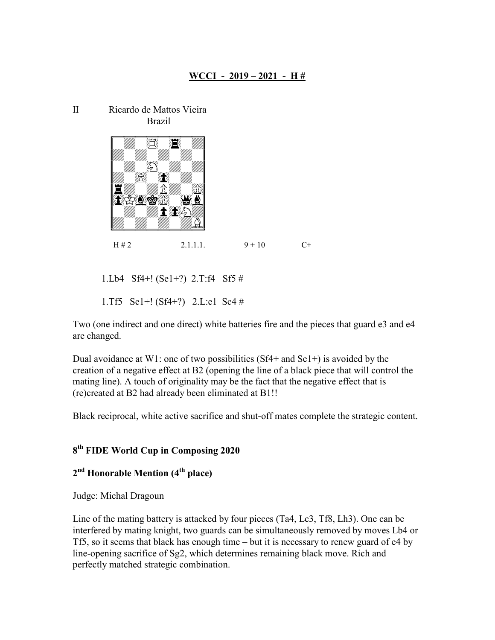



1.Lb4 Sf4+! (Se1+?) 2.T:f4 Sf5 #

1.Tf5 Se1+! (Sf4+?) 2.L:e1 Sc4 #

Two (one indirect and one direct) white batteries fire and the pieces that guard e3 and e4 are changed.

Dual avoidance at W1: one of two possibilities  $(Sf4+$  and  $Se1+)$  is avoided by the creation of a negative effect at B2 (opening the line of a black piece that will control the mating line). A touch of originality may be the fact that the negative effect that is (re)created at B2 had already been eliminated at B1!!

Black reciprocal, white active sacrifice and shut-off mates complete the strategic content.

## 8 th FIDE World Cup in Composing 2020

## 2<sup>nd</sup> Honorable Mention (4<sup>th</sup> place)

Judge: Michal Dragoun

Line of the mating battery is attacked by four pieces (Ta4, Lc3, Tf8, Lh3). One can be interfered by mating knight, two guards can be simultaneously removed by moves Lb4 or Tf5, so it seems that black has enough time – but it is necessary to renew guard of e4 by line-opening sacrifice of Sg2, which determines remaining black move. Rich and perfectly matched strategic combination.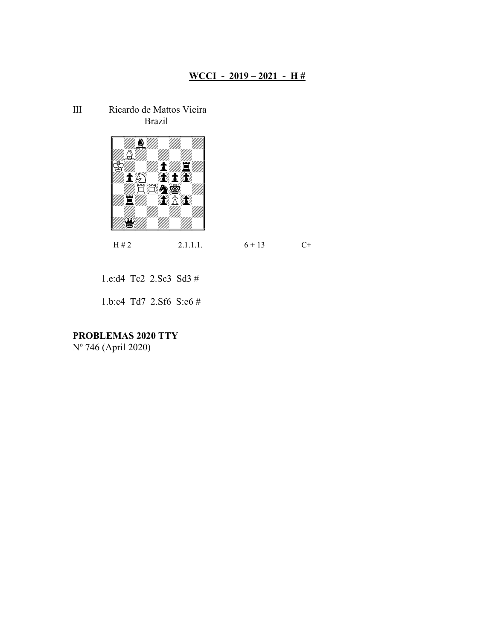III Ricardo de Mattos Vieira Brazil



 $H \# 2$  2.1.1.1.  $6 + 13$  C+

1.e:d4 Tc2 2.Sc3 Sd3 #

1.b:c4 Td7 2.Sf6 S:e6 #

PROBLEMAS 2020 TTY

Nº 746 (April 2020)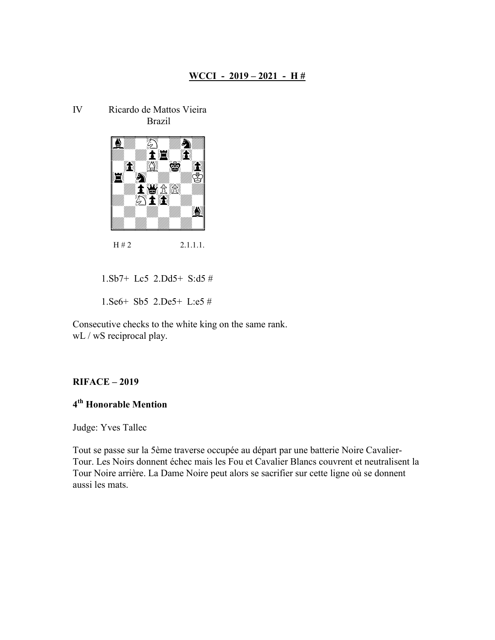IV Ricardo de Mattos Vieira Brazil



 $H \# 2$  2.1.1.1.

1.Sb7+ Lc5 2.Dd5+ S:d5 #

1.Se6+ Sb5 2.De5+ L:e5 #

Consecutive checks to the white king on the same rank. wL / wS reciprocal play.

#### RIFACE – 2019

## 4 th Honorable Mention

Judge: Yves Tallec

Tout se passe sur la 5ème traverse occupée au départ par une batterie Noire Cavalier-Tour. Les Noirs donnent échec mais les Fou et Cavalier Blancs couvrent et neutralisent la Tour Noire arrière. La Dame Noire peut alors se sacrifier sur cette ligne où se donnent aussi les mats.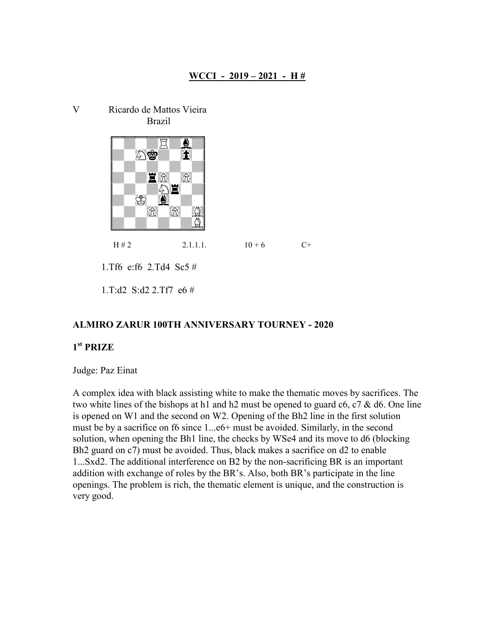V Ricardo de Mattos Vieira Brazil



 $H \# 2$  2.1.1.1.  $10 + 6$  C+

1.Tf6 e:f6 2.Td4 Sc5 #

1.T:d2 S:d2 2.Tf7 e6 #

### ALMIRO ZARUR 100TH ANNIVERSARY TOURNEY - 2020

# 1 st PRIZE

Judge: Paz Einat

A complex idea with black assisting white to make the thematic moves by sacrifices. The two white lines of the bishops at h1 and h2 must be opened to guard  $c6$ ,  $c7$  & d6. One line is opened on W1 and the second on W2. Opening of the Bh2 line in the first solution must be by a sacrifice on f6 since 1...e6+ must be avoided. Similarly, in the second solution, when opening the Bh1 line, the checks by WSe4 and its move to d6 (blocking Bh2 guard on c7) must be avoided. Thus, black makes a sacrifice on d2 to enable 1...Sxd2. The additional interference on B2 by the non-sacrificing BR is an important addition with exchange of roles by the BR's. Also, both BR's participate in the line openings. The problem is rich, the thematic element is unique, and the construction is very good.